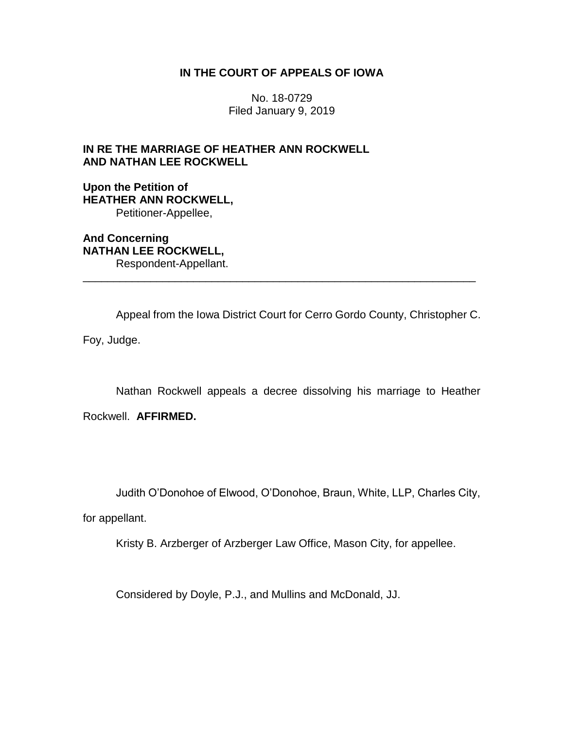## **IN THE COURT OF APPEALS OF IOWA**

No. 18-0729 Filed January 9, 2019

# **IN RE THE MARRIAGE OF HEATHER ANN ROCKWELL AND NATHAN LEE ROCKWELL**

**Upon the Petition of HEATHER ANN ROCKWELL,** Petitioner-Appellee,

**And Concerning NATHAN LEE ROCKWELL,** Respondent-Appellant.

Appeal from the Iowa District Court for Cerro Gordo County, Christopher C.

\_\_\_\_\_\_\_\_\_\_\_\_\_\_\_\_\_\_\_\_\_\_\_\_\_\_\_\_\_\_\_\_\_\_\_\_\_\_\_\_\_\_\_\_\_\_\_\_\_\_\_\_\_\_\_\_\_\_\_\_\_\_\_\_

Foy, Judge.

Nathan Rockwell appeals a decree dissolving his marriage to Heather

Rockwell. **AFFIRMED.** 

Judith O'Donohoe of Elwood, O'Donohoe, Braun, White, LLP, Charles City,

for appellant.

Kristy B. Arzberger of Arzberger Law Office, Mason City, for appellee.

Considered by Doyle, P.J., and Mullins and McDonald, JJ.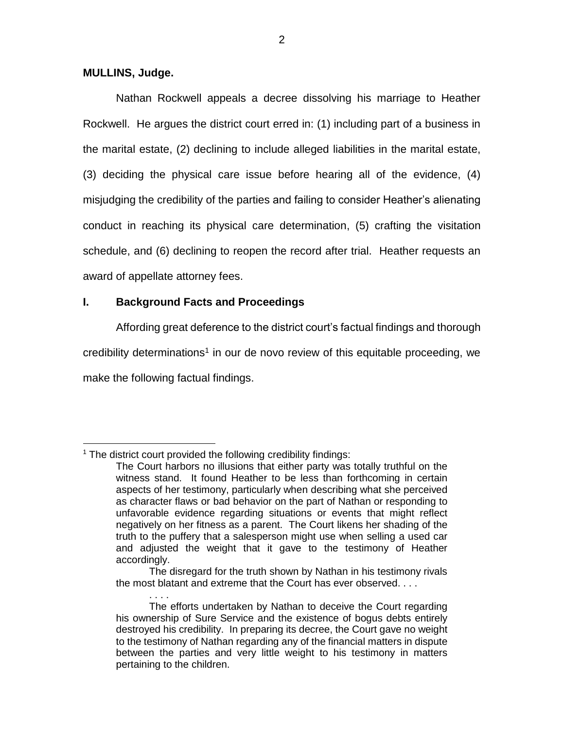### **MULLINS, Judge.**

Nathan Rockwell appeals a decree dissolving his marriage to Heather Rockwell. He argues the district court erred in: (1) including part of a business in the marital estate, (2) declining to include alleged liabilities in the marital estate, (3) deciding the physical care issue before hearing all of the evidence, (4) misjudging the credibility of the parties and failing to consider Heather's alienating conduct in reaching its physical care determination, (5) crafting the visitation schedule, and (6) declining to reopen the record after trial. Heather requests an award of appellate attorney fees.

## **I. Background Facts and Proceedings**

Affording great deference to the district court's factual findings and thorough

credibility determinations<sup>1</sup> in our de novo review of this equitable proceeding, we

make the following factual findings.

 $\overline{a}$ 

 $1$  The district court provided the following credibility findings:

The Court harbors no illusions that either party was totally truthful on the witness stand. It found Heather to be less than forthcoming in certain aspects of her testimony, particularly when describing what she perceived as character flaws or bad behavior on the part of Nathan or responding to unfavorable evidence regarding situations or events that might reflect negatively on her fitness as a parent. The Court likens her shading of the truth to the puffery that a salesperson might use when selling a used car and adjusted the weight that it gave to the testimony of Heather accordingly.

The disregard for the truth shown by Nathan in his testimony rivals the most blatant and extreme that the Court has ever observed. . . .

<sup>. . . .</sup> The efforts undertaken by Nathan to deceive the Court regarding his ownership of Sure Service and the existence of bogus debts entirely destroyed his credibility. In preparing its decree, the Court gave no weight to the testimony of Nathan regarding any of the financial matters in dispute between the parties and very little weight to his testimony in matters pertaining to the children.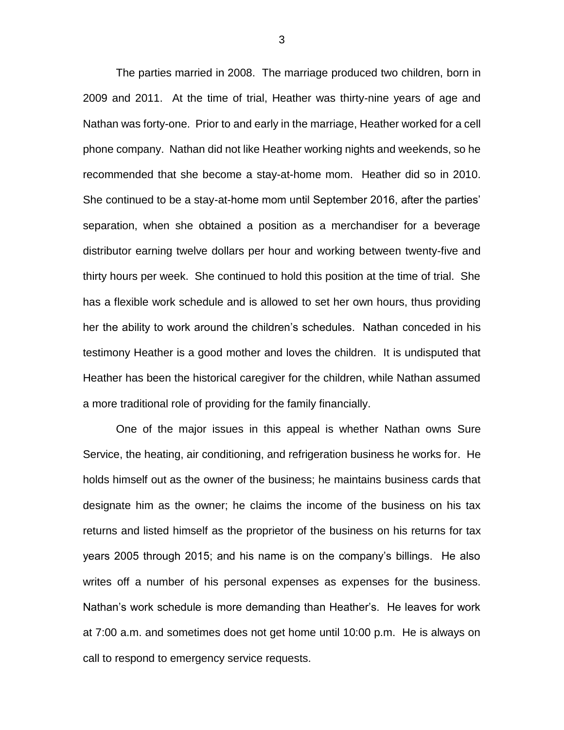The parties married in 2008. The marriage produced two children, born in 2009 and 2011. At the time of trial, Heather was thirty-nine years of age and Nathan was forty-one. Prior to and early in the marriage, Heather worked for a cell phone company. Nathan did not like Heather working nights and weekends, so he recommended that she become a stay-at-home mom. Heather did so in 2010. She continued to be a stay-at-home mom until September 2016, after the parties' separation, when she obtained a position as a merchandiser for a beverage distributor earning twelve dollars per hour and working between twenty-five and thirty hours per week. She continued to hold this position at the time of trial. She has a flexible work schedule and is allowed to set her own hours, thus providing her the ability to work around the children's schedules. Nathan conceded in his testimony Heather is a good mother and loves the children. It is undisputed that Heather has been the historical caregiver for the children, while Nathan assumed a more traditional role of providing for the family financially.

One of the major issues in this appeal is whether Nathan owns Sure Service, the heating, air conditioning, and refrigeration business he works for. He holds himself out as the owner of the business; he maintains business cards that designate him as the owner; he claims the income of the business on his tax returns and listed himself as the proprietor of the business on his returns for tax years 2005 through 2015; and his name is on the company's billings. He also writes off a number of his personal expenses as expenses for the business. Nathan's work schedule is more demanding than Heather's. He leaves for work at 7:00 a.m. and sometimes does not get home until 10:00 p.m. He is always on call to respond to emergency service requests.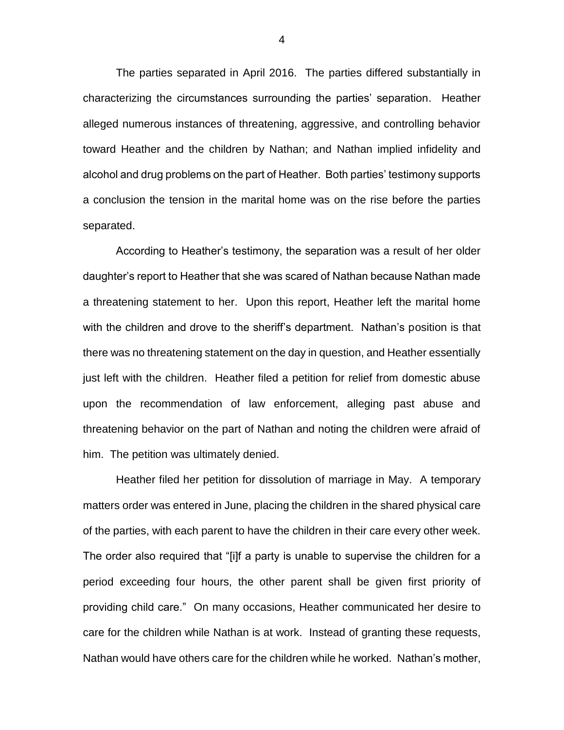The parties separated in April 2016. The parties differed substantially in characterizing the circumstances surrounding the parties' separation. Heather alleged numerous instances of threatening, aggressive, and controlling behavior toward Heather and the children by Nathan; and Nathan implied infidelity and alcohol and drug problems on the part of Heather. Both parties' testimony supports a conclusion the tension in the marital home was on the rise before the parties separated.

According to Heather's testimony, the separation was a result of her older daughter's report to Heather that she was scared of Nathan because Nathan made a threatening statement to her. Upon this report, Heather left the marital home with the children and drove to the sheriff's department. Nathan's position is that there was no threatening statement on the day in question, and Heather essentially just left with the children. Heather filed a petition for relief from domestic abuse upon the recommendation of law enforcement, alleging past abuse and threatening behavior on the part of Nathan and noting the children were afraid of him. The petition was ultimately denied.

Heather filed her petition for dissolution of marriage in May. A temporary matters order was entered in June, placing the children in the shared physical care of the parties, with each parent to have the children in their care every other week. The order also required that "[i]f a party is unable to supervise the children for a period exceeding four hours, the other parent shall be given first priority of providing child care." On many occasions, Heather communicated her desire to care for the children while Nathan is at work. Instead of granting these requests, Nathan would have others care for the children while he worked. Nathan's mother,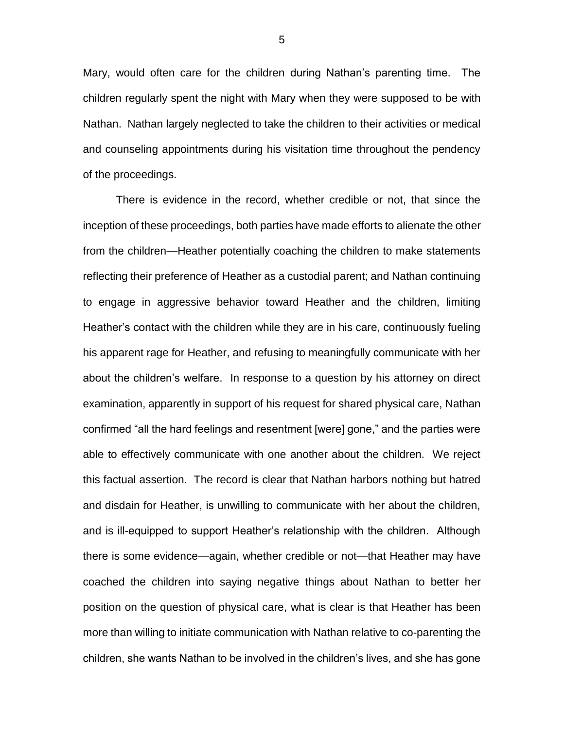Mary, would often care for the children during Nathan's parenting time. The children regularly spent the night with Mary when they were supposed to be with Nathan. Nathan largely neglected to take the children to their activities or medical and counseling appointments during his visitation time throughout the pendency of the proceedings.

There is evidence in the record, whether credible or not, that since the inception of these proceedings, both parties have made efforts to alienate the other from the children—Heather potentially coaching the children to make statements reflecting their preference of Heather as a custodial parent; and Nathan continuing to engage in aggressive behavior toward Heather and the children, limiting Heather's contact with the children while they are in his care, continuously fueling his apparent rage for Heather, and refusing to meaningfully communicate with her about the children's welfare. In response to a question by his attorney on direct examination, apparently in support of his request for shared physical care, Nathan confirmed "all the hard feelings and resentment [were] gone," and the parties were able to effectively communicate with one another about the children. We reject this factual assertion. The record is clear that Nathan harbors nothing but hatred and disdain for Heather, is unwilling to communicate with her about the children, and is ill-equipped to support Heather's relationship with the children. Although there is some evidence—again, whether credible or not—that Heather may have coached the children into saying negative things about Nathan to better her position on the question of physical care, what is clear is that Heather has been more than willing to initiate communication with Nathan relative to co-parenting the children, she wants Nathan to be involved in the children's lives, and she has gone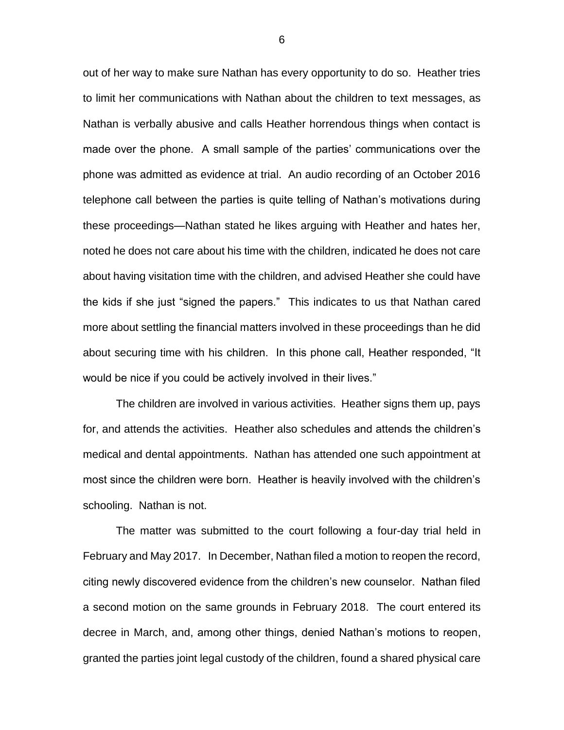out of her way to make sure Nathan has every opportunity to do so. Heather tries to limit her communications with Nathan about the children to text messages, as Nathan is verbally abusive and calls Heather horrendous things when contact is made over the phone. A small sample of the parties' communications over the phone was admitted as evidence at trial. An audio recording of an October 2016 telephone call between the parties is quite telling of Nathan's motivations during these proceedings—Nathan stated he likes arguing with Heather and hates her, noted he does not care about his time with the children, indicated he does not care about having visitation time with the children, and advised Heather she could have the kids if she just "signed the papers."This indicates to us that Nathan cared more about settling the financial matters involved in these proceedings than he did about securing time with his children. In this phone call, Heather responded, "It would be nice if you could be actively involved in their lives."

The children are involved in various activities. Heather signs them up, pays for, and attends the activities. Heather also schedules and attends the children's medical and dental appointments. Nathan has attended one such appointment at most since the children were born. Heather is heavily involved with the children's schooling. Nathan is not.

The matter was submitted to the court following a four-day trial held in February and May 2017. In December, Nathan filed a motion to reopen the record, citing newly discovered evidence from the children's new counselor. Nathan filed a second motion on the same grounds in February 2018. The court entered its decree in March, and, among other things, denied Nathan's motions to reopen, granted the parties joint legal custody of the children, found a shared physical care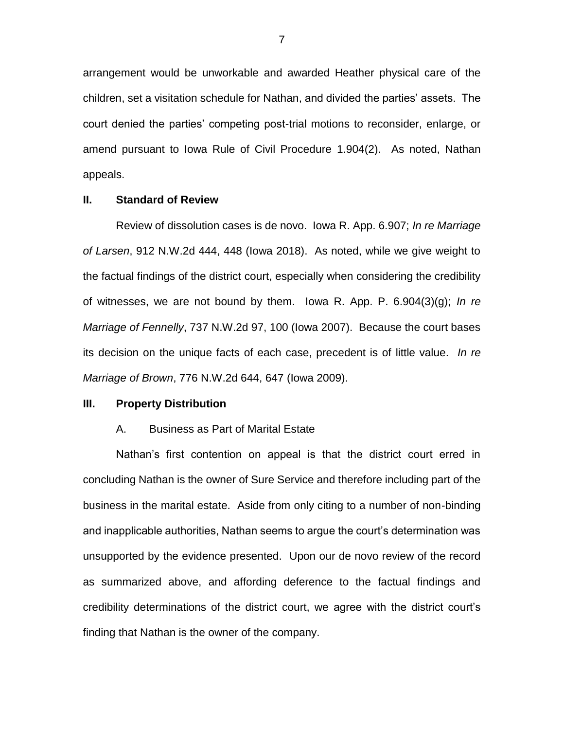arrangement would be unworkable and awarded Heather physical care of the children, set a visitation schedule for Nathan, and divided the parties' assets. The court denied the parties' competing post-trial motions to reconsider, enlarge, or amend pursuant to Iowa Rule of Civil Procedure 1.904(2). As noted, Nathan appeals.

### **II. Standard of Review**

Review of dissolution cases is de novo. Iowa R. App. 6.907; *In re Marriage of Larsen*, 912 N.W.2d 444, 448 (Iowa 2018). As noted, while we give weight to the factual findings of the district court, especially when considering the credibility of witnesses, we are not bound by them. Iowa R. App. P. 6.904(3)(g); *In re Marriage of Fennelly*, 737 N.W.2d 97, 100 (Iowa 2007). Because the court bases its decision on the unique facts of each case, precedent is of little value. *In re Marriage of Brown*, 776 N.W.2d 644, 647 (Iowa 2009).

#### **III. Property Distribution**

#### A. Business as Part of Marital Estate

Nathan's first contention on appeal is that the district court erred in concluding Nathan is the owner of Sure Service and therefore including part of the business in the marital estate. Aside from only citing to a number of non-binding and inapplicable authorities, Nathan seems to argue the court's determination was unsupported by the evidence presented. Upon our de novo review of the record as summarized above, and affording deference to the factual findings and credibility determinations of the district court, we agree with the district court's finding that Nathan is the owner of the company.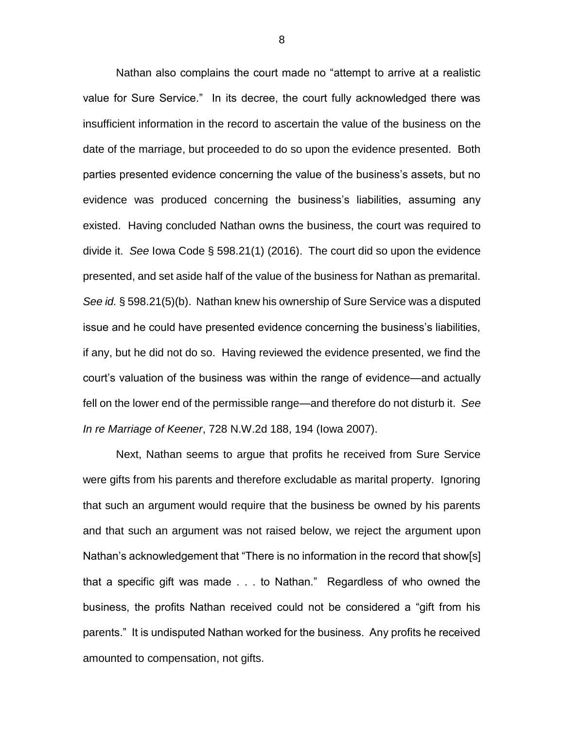Nathan also complains the court made no "attempt to arrive at a realistic value for Sure Service." In its decree, the court fully acknowledged there was insufficient information in the record to ascertain the value of the business on the date of the marriage, but proceeded to do so upon the evidence presented. Both parties presented evidence concerning the value of the business's assets, but no evidence was produced concerning the business's liabilities, assuming any existed. Having concluded Nathan owns the business, the court was required to divide it. *See* Iowa Code § 598.21(1) (2016). The court did so upon the evidence presented, and set aside half of the value of the business for Nathan as premarital. *See id.* § 598.21(5)(b). Nathan knew his ownership of Sure Service was a disputed issue and he could have presented evidence concerning the business's liabilities, if any, but he did not do so. Having reviewed the evidence presented, we find the court's valuation of the business was within the range of evidence—and actually fell on the lower end of the permissible range—and therefore do not disturb it. *See In re Marriage of Keener*, 728 N.W.2d 188, 194 (Iowa 2007).

Next, Nathan seems to argue that profits he received from Sure Service were gifts from his parents and therefore excludable as marital property. Ignoring that such an argument would require that the business be owned by his parents and that such an argument was not raised below, we reject the argument upon Nathan's acknowledgement that "There is no information in the record that show[s] that a specific gift was made . . . to Nathan." Regardless of who owned the business, the profits Nathan received could not be considered a "gift from his parents." It is undisputed Nathan worked for the business. Any profits he received amounted to compensation, not gifts.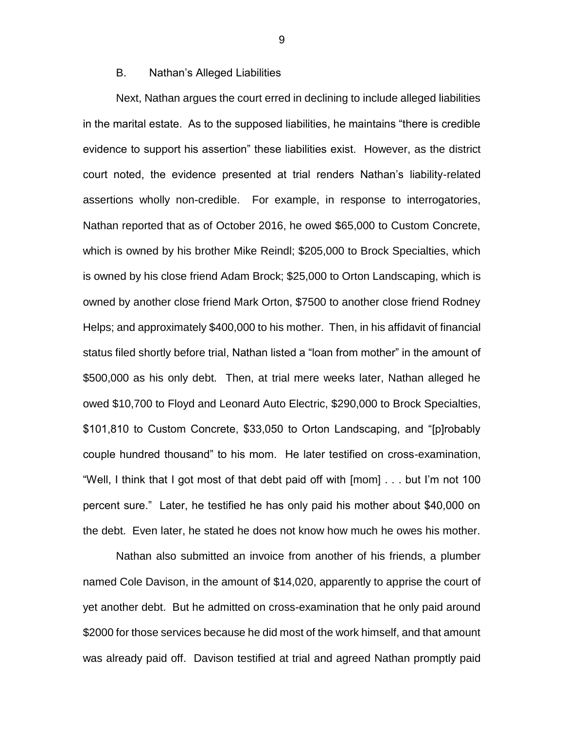### B. Nathan's Alleged Liabilities

Next, Nathan argues the court erred in declining to include alleged liabilities in the marital estate. As to the supposed liabilities, he maintains "there is credible evidence to support his assertion" these liabilities exist. However, as the district court noted, the evidence presented at trial renders Nathan's liability-related assertions wholly non-credible. For example, in response to interrogatories, Nathan reported that as of October 2016, he owed \$65,000 to Custom Concrete, which is owned by his brother Mike Reindl; \$205,000 to Brock Specialties, which is owned by his close friend Adam Brock; \$25,000 to Orton Landscaping, which is owned by another close friend Mark Orton, \$7500 to another close friend Rodney Helps; and approximately \$400,000 to his mother. Then, in his affidavit of financial status filed shortly before trial, Nathan listed a "loan from mother" in the amount of \$500,000 as his only debt. Then, at trial mere weeks later, Nathan alleged he owed \$10,700 to Floyd and Leonard Auto Electric, \$290,000 to Brock Specialties, \$101,810 to Custom Concrete, \$33,050 to Orton Landscaping, and "[p]robably couple hundred thousand" to his mom. He later testified on cross-examination, "Well, I think that I got most of that debt paid off with [mom] . . . but I'm not 100 percent sure." Later, he testified he has only paid his mother about \$40,000 on the debt. Even later, he stated he does not know how much he owes his mother.

Nathan also submitted an invoice from another of his friends, a plumber named Cole Davison, in the amount of \$14,020, apparently to apprise the court of yet another debt. But he admitted on cross-examination that he only paid around \$2000 for those services because he did most of the work himself, and that amount was already paid off. Davison testified at trial and agreed Nathan promptly paid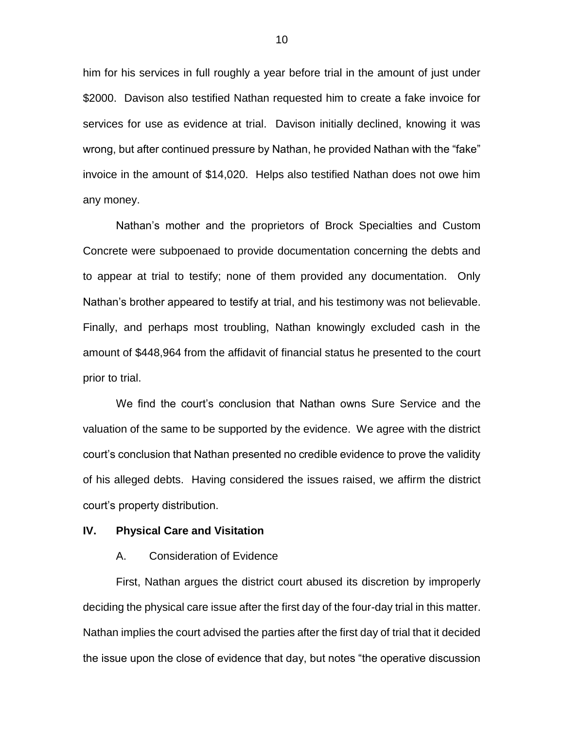him for his services in full roughly a year before trial in the amount of just under \$2000. Davison also testified Nathan requested him to create a fake invoice for services for use as evidence at trial. Davison initially declined, knowing it was wrong, but after continued pressure by Nathan, he provided Nathan with the "fake" invoice in the amount of \$14,020. Helps also testified Nathan does not owe him any money.

Nathan's mother and the proprietors of Brock Specialties and Custom Concrete were subpoenaed to provide documentation concerning the debts and to appear at trial to testify; none of them provided any documentation. Only Nathan's brother appeared to testify at trial, and his testimony was not believable. Finally, and perhaps most troubling, Nathan knowingly excluded cash in the amount of \$448,964 from the affidavit of financial status he presented to the court prior to trial.

We find the court's conclusion that Nathan owns Sure Service and the valuation of the same to be supported by the evidence. We agree with the district court's conclusion that Nathan presented no credible evidence to prove the validity of his alleged debts. Having considered the issues raised, we affirm the district court's property distribution.

### **IV. Physical Care and Visitation**

#### A. Consideration of Evidence

First, Nathan argues the district court abused its discretion by improperly deciding the physical care issue after the first day of the four-day trial in this matter. Nathan implies the court advised the parties after the first day of trial that it decided the issue upon the close of evidence that day, but notes "the operative discussion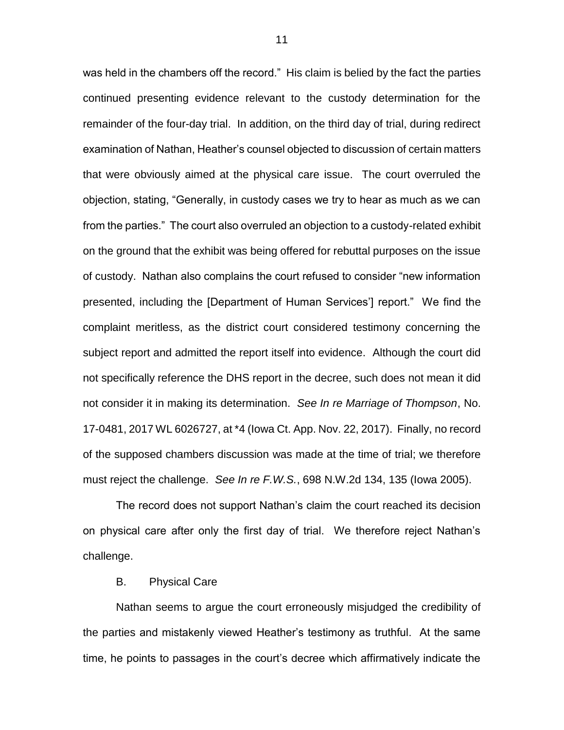was held in the chambers off the record." His claim is belied by the fact the parties continued presenting evidence relevant to the custody determination for the remainder of the four-day trial. In addition, on the third day of trial, during redirect examination of Nathan, Heather's counsel objected to discussion of certain matters that were obviously aimed at the physical care issue. The court overruled the objection, stating, "Generally, in custody cases we try to hear as much as we can from the parties." The court also overruled an objection to a custody-related exhibit on the ground that the exhibit was being offered for rebuttal purposes on the issue of custody. Nathan also complains the court refused to consider "new information presented, including the [Department of Human Services'] report." We find the complaint meritless, as the district court considered testimony concerning the subject report and admitted the report itself into evidence. Although the court did not specifically reference the DHS report in the decree, such does not mean it did not consider it in making its determination. *See In re Marriage of Thompson*, No. 17-0481, 2017 WL 6026727, at \*4 (Iowa Ct. App. Nov. 22, 2017). Finally, no record of the supposed chambers discussion was made at the time of trial; we therefore must reject the challenge. *See In re F.W.S.*, 698 N.W.2d 134, 135 (Iowa 2005).

The record does not support Nathan's claim the court reached its decision on physical care after only the first day of trial. We therefore reject Nathan's challenge.

#### B. Physical Care

Nathan seems to argue the court erroneously misjudged the credibility of the parties and mistakenly viewed Heather's testimony as truthful. At the same time, he points to passages in the court's decree which affirmatively indicate the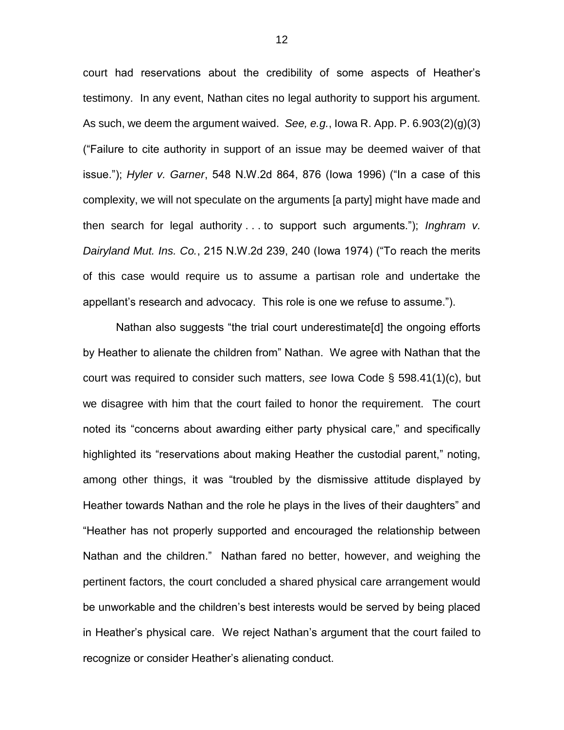court had reservations about the credibility of some aspects of Heather's testimony. In any event, Nathan cites no legal authority to support his argument. As such, we deem the argument waived. *See, e.g.*, Iowa R. App. P. 6.903(2)(g)(3) ("Failure to cite authority in support of an issue may be deemed waiver of that issue."); *Hyler v. Garner*, 548 N.W.2d 864, 876 (Iowa 1996) ("In a case of this complexity, we will not speculate on the arguments [a party] might have made and then search for legal authority . . . to support such arguments."); *Inghram v. Dairyland Mut. Ins. Co.*, 215 N.W.2d 239, 240 (Iowa 1974) ("To reach the merits of this case would require us to assume a partisan role and undertake the appellant's research and advocacy. This role is one we refuse to assume.").

Nathan also suggests "the trial court underestimate[d] the ongoing efforts by Heather to alienate the children from" Nathan. We agree with Nathan that the court was required to consider such matters, *see* Iowa Code § 598.41(1)(c), but we disagree with him that the court failed to honor the requirement. The court noted its "concerns about awarding either party physical care," and specifically highlighted its "reservations about making Heather the custodial parent," noting, among other things, it was "troubled by the dismissive attitude displayed by Heather towards Nathan and the role he plays in the lives of their daughters" and "Heather has not properly supported and encouraged the relationship between Nathan and the children." Nathan fared no better, however, and weighing the pertinent factors, the court concluded a shared physical care arrangement would be unworkable and the children's best interests would be served by being placed in Heather's physical care. We reject Nathan's argument that the court failed to recognize or consider Heather's alienating conduct.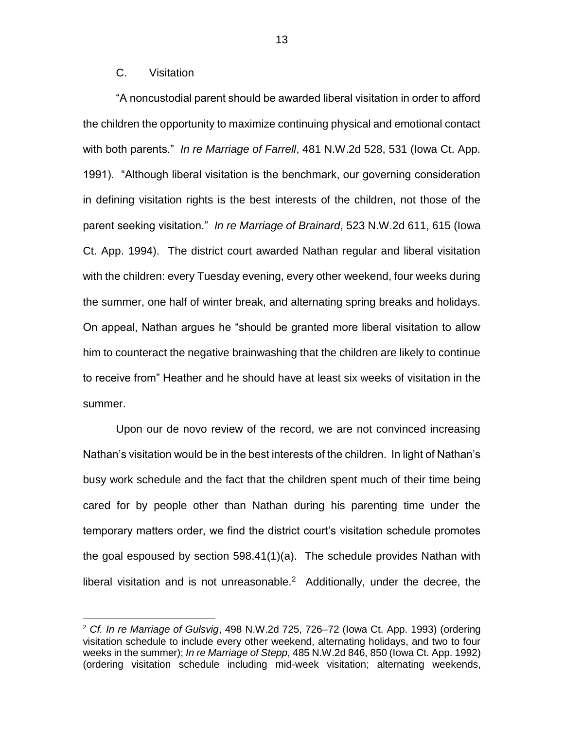## C. Visitation

 $\overline{a}$ 

"A noncustodial parent should be awarded liberal visitation in order to afford the children the opportunity to maximize continuing physical and emotional contact with both parents." *In re Marriage of Farrell*, 481 N.W.2d 528, 531 (Iowa Ct. App. 1991). "Although liberal visitation is the benchmark, our governing consideration in defining visitation rights is the best interests of the children, not those of the parent seeking visitation." *In re Marriage of Brainard*, 523 N.W.2d 611, 615 (Iowa Ct. App. 1994). The district court awarded Nathan regular and liberal visitation with the children: every Tuesday evening, every other weekend, four weeks during the summer, one half of winter break, and alternating spring breaks and holidays. On appeal, Nathan argues he "should be granted more liberal visitation to allow him to counteract the negative brainwashing that the children are likely to continue to receive from" Heather and he should have at least six weeks of visitation in the summer.

Upon our de novo review of the record, we are not convinced increasing Nathan's visitation would be in the best interests of the children. In light of Nathan's busy work schedule and the fact that the children spent much of their time being cared for by people other than Nathan during his parenting time under the temporary matters order, we find the district court's visitation schedule promotes the goal espoused by section 598.41(1)(a). The schedule provides Nathan with liberal visitation and is not unreasonable.<sup>2</sup> Additionally, under the decree, the

<sup>2</sup> *Cf. In re Marriage of Gulsvig*, 498 N.W.2d 725, 726–72 (Iowa Ct. App. 1993) (ordering visitation schedule to include every other weekend, alternating holidays, and two to four weeks in the summer); *In re Marriage of Stepp*, 485 N.W.2d 846, 850 (Iowa Ct. App. 1992) (ordering visitation schedule including mid-week visitation; alternating weekends,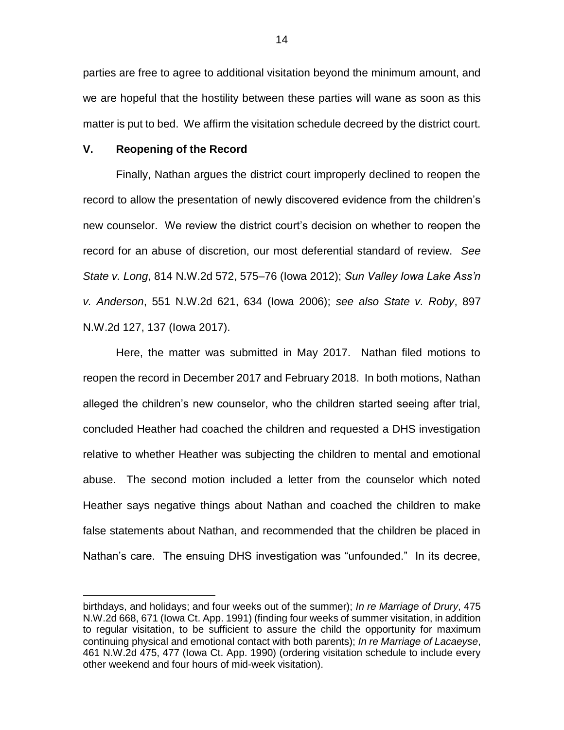parties are free to agree to additional visitation beyond the minimum amount, and we are hopeful that the hostility between these parties will wane as soon as this matter is put to bed. We affirm the visitation schedule decreed by the district court.

#### **V. Reopening of the Record**

 $\overline{a}$ 

Finally, Nathan argues the district court improperly declined to reopen the record to allow the presentation of newly discovered evidence from the children's new counselor. We review the district court's decision on whether to reopen the record for an abuse of discretion, our most deferential standard of review. *See State v. Long*, 814 N.W.2d 572, 575–76 (Iowa 2012); *Sun Valley Iowa Lake Ass'n v. Anderson*, 551 N.W.2d 621, 634 (Iowa 2006); *see also State v. Roby*, 897 N.W.2d 127, 137 (Iowa 2017).

Here, the matter was submitted in May 2017. Nathan filed motions to reopen the record in December 2017 and February 2018. In both motions, Nathan alleged the children's new counselor, who the children started seeing after trial, concluded Heather had coached the children and requested a DHS investigation relative to whether Heather was subjecting the children to mental and emotional abuse. The second motion included a letter from the counselor which noted Heather says negative things about Nathan and coached the children to make false statements about Nathan, and recommended that the children be placed in Nathan's care. The ensuing DHS investigation was "unfounded." In its decree,

birthdays, and holidays; and four weeks out of the summer); *In re Marriage of Drury*, 475 N.W.2d 668, 671 (Iowa Ct. App. 1991) (finding four weeks of summer visitation, in addition to regular visitation, to be sufficient to assure the child the opportunity for maximum continuing physical and emotional contact with both parents); *In re Marriage of Lacaeyse*, 461 N.W.2d 475, 477 (Iowa Ct. App. 1990) (ordering visitation schedule to include every other weekend and four hours of mid-week visitation).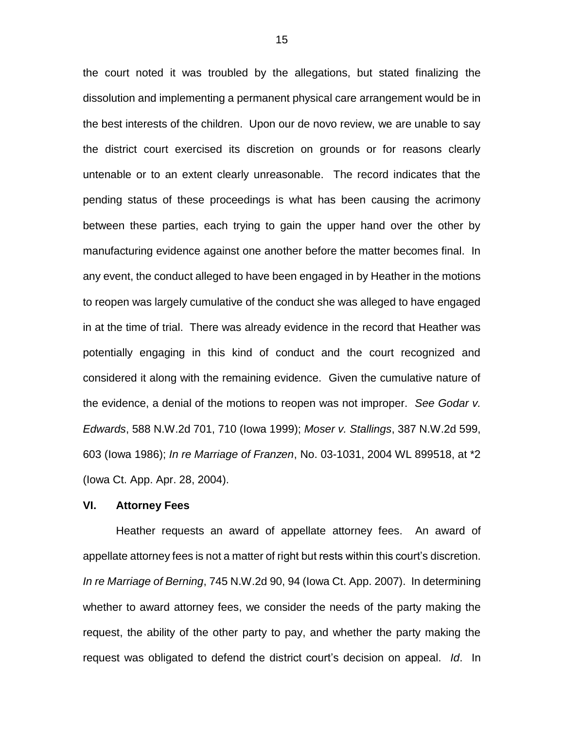the court noted it was troubled by the allegations, but stated finalizing the dissolution and implementing a permanent physical care arrangement would be in the best interests of the children. Upon our de novo review, we are unable to say the district court exercised its discretion on grounds or for reasons clearly untenable or to an extent clearly unreasonable. The record indicates that the pending status of these proceedings is what has been causing the acrimony between these parties, each trying to gain the upper hand over the other by manufacturing evidence against one another before the matter becomes final. In any event, the conduct alleged to have been engaged in by Heather in the motions to reopen was largely cumulative of the conduct she was alleged to have engaged in at the time of trial. There was already evidence in the record that Heather was potentially engaging in this kind of conduct and the court recognized and considered it along with the remaining evidence. Given the cumulative nature of the evidence, a denial of the motions to reopen was not improper. *See Godar v. Edwards*, 588 N.W.2d 701, 710 (Iowa 1999); *Moser v. Stallings*, 387 N.W.2d 599, 603 (Iowa 1986); *In re Marriage of Franzen*, No. 03-1031, 2004 WL 899518, at \*2 (Iowa Ct. App. Apr. 28, 2004).

### **VI. Attorney Fees**

Heather requests an award of appellate attorney fees. An award of appellate attorney fees is not a matter of right but rests within this court's discretion. *In re Marriage of Berning*, 745 N.W.2d 90, 94 (Iowa Ct. App. 2007). In determining whether to award attorney fees, we consider the needs of the party making the request, the ability of the other party to pay, and whether the party making the request was obligated to defend the district court's decision on appeal. *Id*. In